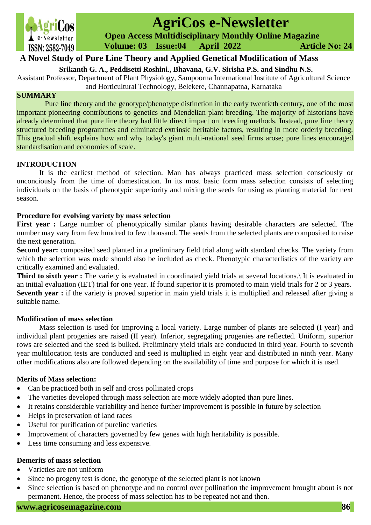

# **AgriCos e-Newsletter**

 **Open Access Multidisciplinary Monthly Online Magazine**

 **Volume: 03 Issue:04 April 2022 Article No: 24**

## **A Novel Study of Pure Line Theory and Applied Genetical Modification of Mass**

**Srikanth G. A., Peddisetti Roshini., Bhavana, G.V. Sirisha P.S. and Sindhu N.S.**

Assistant Professor, Department of Plant Physiology, Sampoorna International Institute of Agricultural Science and Horticultural Technology, Belekere, Channapatna, Karnataka

## **SUMMARY**

Pure line theory and the genotype/phenotype distinction in the early twentieth century, one of the most important pioneering contributions to genetics and Mendelian plant breeding. The majority of historians have already determined that pure line theory had little direct impact on breeding methods. Instead, pure line theory structured breeding programmes and eliminated extrinsic heritable factors, resulting in more orderly breeding. This gradual shift explains how and why today's giant multi-national seed firms arose; pure lines encouraged standardisation and economies of scale.

## **INTRODUCTION**

It is the earliest method of selection. Man has always practiced mass selection consciously or unconciously from the time of domestication. In its most basic form mass selection consists of selecting individuals on the basis of phenotypic superiority and mixing the seeds for using as planting material for next season.

## **Procedure for evolving variety by mass selection**

First year : Large number of phenotypically similar plants having desirable characters are selected. The number may vary from few hundred to few thousand. The seeds from the selected plants are composited to raise the next generation.

**Second year:** composited seed planted in a preliminary field trial along with standard checks. The variety from which the selection was made should also be included as check. Phenotypic characterlistics of the variety are critically examined and evaluated.

**Third to sixth year :** The variety is evaluated in coordinated yield trials at several locations. It is evaluated in an initial evaluation (IET) trial for one year. If found superior it is promoted to main yield trials for 2 or 3 years. **Seventh year :** if the variety is proved superior in main yield trials it is multiplied and released after giving a suitable name.

#### **Modification of mass selection**

Mass selection is used for improving a local variety. Large number of plants are selected (I year) and individual plant progenies are raised (II year). Inferior, segregating progenies are reflected. Uniform, superior rows are selected and the seed is bulked. Preliminary yield trials are conducted in third year. Fourth to seventh year multilocation tests are conducted and seed is multiplied in eight year and distributed in ninth year. Many other modifications also are followed depending on the availability of time and purpose for which it is used.

## **Merits of Mass selection:**

- Can be practiced both in self and cross pollinated crops
- The varieties developed through mass selection are more widely adopted than pure lines.
- It retains considerable variability and hence further improvement is possible in future by selection
- Helps in preservation of land races
- Useful for purification of pureline varieties
- Improvement of characters governed by few genes with high heritability is possible.
- Less time consuming and less expensive.

## **Demerits of mass selection**

- Varieties are not uniform
- Since no progeny test is done, the genotype of the selected plant is not known
- Since selection is based on phenotype and no control over pollination the improvement brought about is not permanent. Hence, the process of mass selection has to be repeated not and then.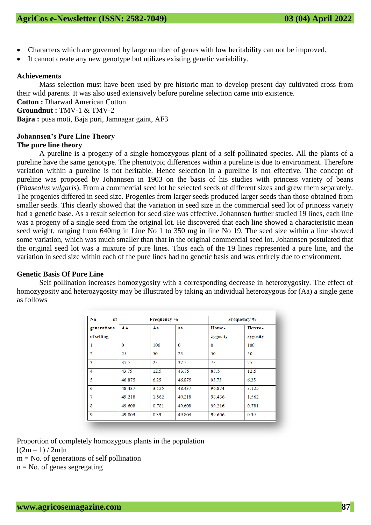- Characters which are governed by large number of genes with low heritability can not be improved.
- It cannot create any new genotype but utilizes existing genetic variability.

#### **Achievements**

Mass selection must have been used by pre historic man to develop present day cultivated cross from their wild parents. It was also used extensively before pureline selection came into existence.

**Cotton :** Dharwad American Cotton **Groundnut :** TMV-1 & TMV-2 **Bajra :** pusa moti, Baja puri, Jamnagar gaint, AF3

## **Johannsen's Pure Line Theory**

#### **The pure line theory**

A pureline is a progeny of a single homozygous plant of a self-pollinated species. All the plants of a pureline have the same genotype. The phenotypic differences within a pureline is due to environment. Therefore variation within a pureline is not heritable. Hence selection in a pureline is not effective. The concept of pureline was proposed by Johannsen in 1903 on the basis of his studies with princess variety of beans (*Phaseolus vulgaris*). From a commercial seed lot he selected seeds of different sizes and grew them separately. The progenies differed in seed size. Progenies from larger seeds produced larger seeds than those obtained from smaller seeds. This clearly showed that the variation in seed size in the commercial seed lot of princess variety had a genetic base. As a result selection for seed size was effective. Johannsen further studied 19 lines, each line was a progeny of a single seed from the original lot. He discovered that each line showed a characteristic mean seed weight, ranging from 640mg in Line No 1 to 350 mg in line No 19. The seed size within a line showed some variation, which was much smaller than that in the original commercial seed lot. Johannsen postulated that the original seed lot was a mixture of pure lines. Thus each of the 19 lines represented a pure line, and the variation in seed size within each of the pure lines had no genetic basis and was entirely due to environment.

#### **Genetic Basis Of Pure Line**

Self pollination increases homozygosity with a corresponding decrease in heterozygosity. The effect of homozygosity and heterozygosity may be illustrated by taking an individual heterozygous for (Aa) a single gene as follows

| No<br>of<br>generations<br>of selfing | <b>Frequency</b> % |       |          | <b>Frequency %</b> |                     |
|---------------------------------------|--------------------|-------|----------|--------------------|---------------------|
|                                       | AA                 | Aа    | aa       | Homo-<br>zygosity  | Hetero-<br>zygosity |
| $\mathbf{1}$                          | $\bf{0}$           | 100   | $\bf{0}$ | $\Omega$           | 100                 |
| $\overline{2}$                        | 25                 | 50    | 25       | 50                 | 50                  |
| 3                                     | 37.5               | 25    | 37.5     | 75                 | 25                  |
| 4                                     | 43.75              | 12.5  | 43.75    | 87.5               | 12.5                |
| 5                                     | 46.875             | 6.25  | 46.875   | 93.73              | 6.25                |
| 6                                     | 48.437             | 3.125 | 48.437   | 96.874             | 3.125               |
| 7                                     | 49.218             | 1.562 | 49.218   | 98.436             | 1.562               |
| 8                                     | 49.608             | 0.781 | 49.608   | 99.216             | 0.781               |
| 9                                     | 49.803             | 0.39  | 49.803   | 99.606             | 0.39                |

Proportion of completely homozygous plants in the population

 $[(2m-1)/2m]$ n

 $m = No$ . of generations of self pollination

 $n = No$ . of genes segregating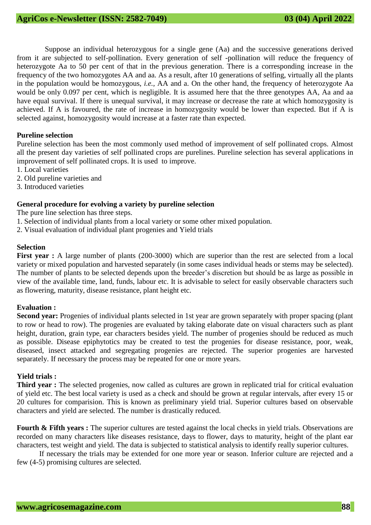Suppose an individual heterozygous for a single gene (Aa) and the successive generations derived from it are subjected to self-pollination. Every generation of self -pollination will reduce the frequency of heterozygote Aa to 50 per cent of that in the previous generation. There is a corresponding increase in the frequency of the two homozygotes AA and aa. As a result, after 10 generations of selfing, virtually all the plants in the population would be homozygous, *i.e.,* AA and a. On the other hand, the frequency of heterozygote Aa would be only 0.097 per cent, which is negligible. It is assumed here that the three genotypes AA, Aa and aa have equal survival. If there is unequal survival, it may increase or decrease the rate at which homozygosity is achieved. If A is favoured, the rate of increase in homozygosity would be lower than expected. But if A is selected against, homozygosity would increase at a faster rate than expected.

#### **Pureline selection**

Pureline selection has been the most commonly used method of improvement of self pollinated crops. Almost all the present day varieties of self pollinated crops are purelines. Pureline selection has several applications in improvement of self pollinated crops. It is used to improve.

- 1. Local varieties
- 2. Old pureline varieties and
- 3. Introduced varieties

#### **General procedure for evolving a variety by pureline selection**

The pure line selection has three steps.

- 1. Selection of individual plants from a local variety or some other mixed population.
- 2. Visual evaluation of individual plant progenies and Yield trials

#### **Selection**

**First year :** A large number of plants (200-3000) which are superior than the rest are selected from a local variety or mixed population and harvested separately (in some cases individual heads or stems may be selected). The number of plants to be selected depends upon the breeder's discretion but should be as large as possible in view of the available time, land, funds, labour etc. It is advisable to select for easily observable characters such as flowering, maturity, disease resistance, plant height etc.

## **Evaluation :**

**Second year:** Progenies of individual plants selected in 1st year are grown separately with proper spacing (plant to row or head to row). The progenies are evaluated by taking elaborate date on visual characters such as plant height, duration, grain type, ear characters besides yield. The number of progenies should be reduced as much as possible. Disease epiphytotics may be created to test the progenies for disease resistance, poor, weak, diseased, insect attacked and segregating progenies are rejected. The superior progenies are harvested separately. If necessary the process may be repeated for one or more years.

#### **Yield trials :**

**Third year :** The selected progenies, now called as cultures are grown in replicated trial for critical evaluation of yield etc. The best local variety is used as a check and should be grown at regular intervals, after every 15 or 20 cultures for comparision. This is known as preliminary yield trial. Superior cultures based on observable characters and yield are selected. The number is drastically reduced.

**Fourth & Fifth years :** The superior cultures are tested against the local checks in yield trials. Observations are recorded on many characters like diseases resistance, days to flower, days to maturity, height of the plant ear characters, test weight and yield. The data is subjected to statistical analysis to identify really superior cultures.

If necessary the trials may be extended for one more year or season. Inferior culture are rejected and a few (4-5) promising cultures are selected.